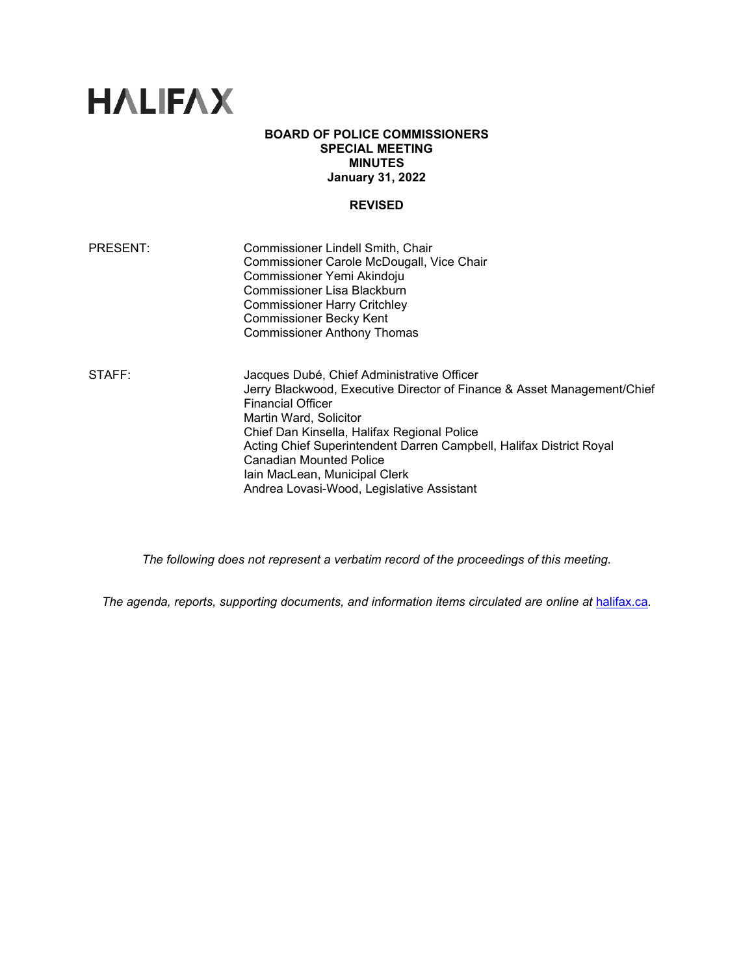# **HALIFAX**

# **BOARD OF POLICE COMMISSIONERS SPECIAL MEETING MINUTES January 31, 2022**

# **REVISED**

| PRESENT: | Commissioner Lindell Smith, Chair         |
|----------|-------------------------------------------|
|          | Commissioner Carole McDougall, Vice Chair |
|          | Commissioner Yemi Akindoju                |
|          | <b>Commissioner Lisa Blackburn</b>        |
|          | <b>Commissioner Harry Critchley</b>       |
|          | <b>Commissioner Becky Kent</b>            |
|          | <b>Commissioner Anthony Thomas</b>        |
|          |                                           |

STAFF: Jacques Dubé, Chief Administrative Officer Jerry Blackwood, Executive Director of Finance & Asset Management/Chief Financial Officer Martin Ward, Solicitor Chief Dan Kinsella, Halifax Regional Police Acting Chief Superintendent Darren Campbell, Halifax District Royal Canadian Mounted Police Iain MacLean, Municipal Clerk Andrea Lovasi-Wood, Legislative Assistant

*The following does not represent a verbatim record of the proceedings of this meeting.*

The agenda, reports, supporting documents, and information items circulated are online at **[halifax.ca](http://www.halifax.ca/).**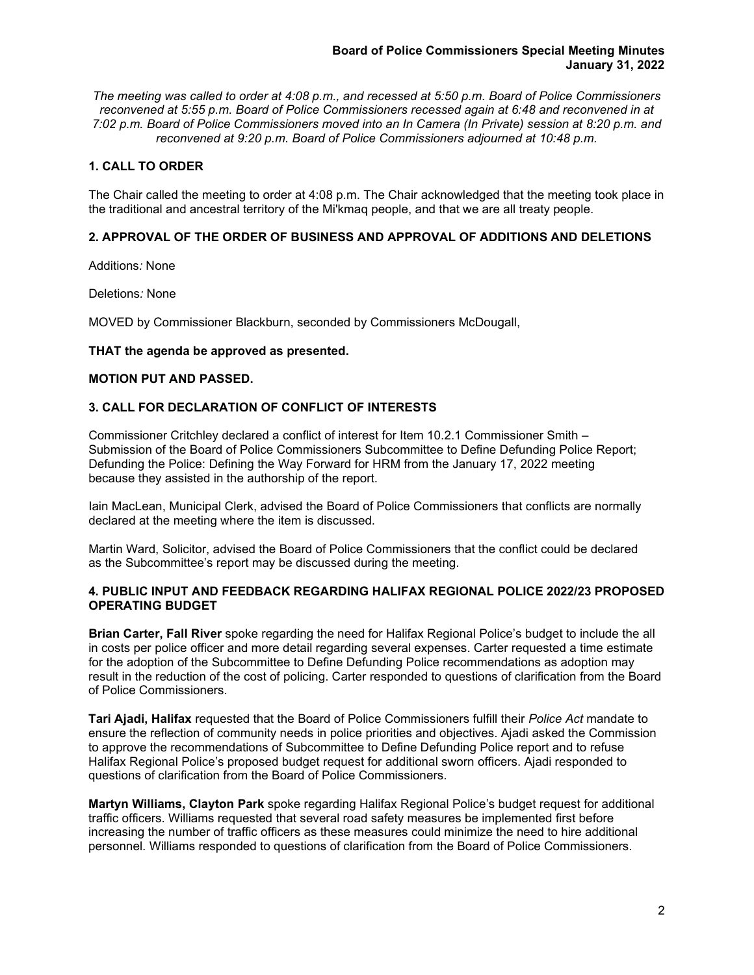*The meeting was called to order at 4:08 p.m., and recessed at 5:50 p.m. Board of Police Commissioners reconvened at 5:55 p.m. Board of Police Commissioners recessed again at 6:48 and reconvened in at 7:02 p.m. Board of Police Commissioners moved into an In Camera (In Private) session at 8:20 p.m. and reconvened at 9:20 p.m. Board of Police Commissioners adjourned at 10:48 p.m.*

# **1. CALL TO ORDER**

The Chair called the meeting to order at 4:08 p.m. The Chair acknowledged that the meeting took place in the traditional and ancestral territory of the Mi'kmaq people, and that we are all treaty people.

# **2. APPROVAL OF THE ORDER OF BUSINESS AND APPROVAL OF ADDITIONS AND DELETIONS**

Additions*:* None

Deletions*:* None

MOVED by Commissioner Blackburn, seconded by Commissioners McDougall,

# **THAT the agenda be approved as presented.**

# **MOTION PUT AND PASSED.**

# **3. CALL FOR DECLARATION OF CONFLICT OF INTERESTS**

Commissioner Critchley declared a conflict of interest for Item 10.2.1 Commissioner Smith – Submission of the Board of Police Commissioners Subcommittee to Define Defunding Police Report; Defunding the Police: Defining the Way Forward for HRM from the January 17, 2022 meeting because they assisted in the authorship of the report.

Iain MacLean, Municipal Clerk, advised the Board of Police Commissioners that conflicts are normally declared at the meeting where the item is discussed.

Martin Ward, Solicitor, advised the Board of Police Commissioners that the conflict could be declared as the Subcommittee's report may be discussed during the meeting.

# **4. PUBLIC INPUT AND FEEDBACK REGARDING HALIFAX REGIONAL POLICE 2022/23 PROPOSED OPERATING BUDGET**

**Brian Carter, Fall River** spoke regarding the need for Halifax Regional Police's budget to include the all in costs per police officer and more detail regarding several expenses. Carter requested a time estimate for the adoption of the Subcommittee to Define Defunding Police recommendations as adoption may result in the reduction of the cost of policing. Carter responded to questions of clarification from the Board of Police Commissioners.

**Tari Ajadi, Halifax** requested that the Board of Police Commissioners fulfill their *Police Act* mandate to ensure the reflection of community needs in police priorities and objectives. Ajadi asked the Commission to approve the recommendations of Subcommittee to Define Defunding Police report and to refuse Halifax Regional Police's proposed budget request for additional sworn officers. Ajadi responded to questions of clarification from the Board of Police Commissioners.

**Martyn Williams, Clayton Park** spoke regarding Halifax Regional Police's budget request for additional traffic officers. Williams requested that several road safety measures be implemented first before increasing the number of traffic officers as these measures could minimize the need to hire additional personnel. Williams responded to questions of clarification from the Board of Police Commissioners.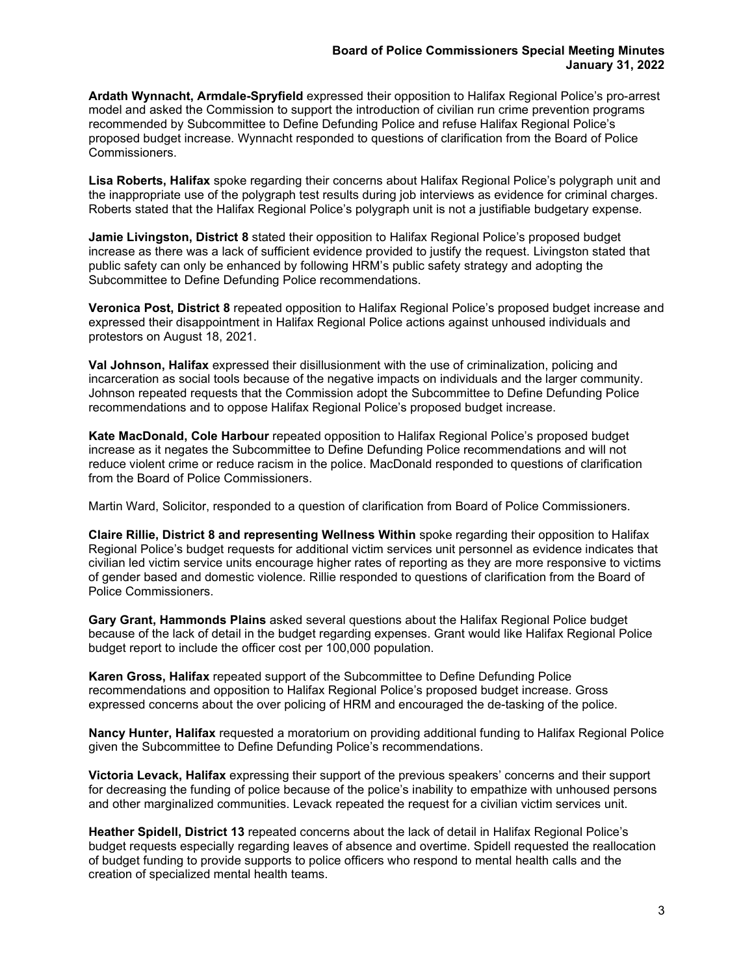**Ardath Wynnacht, Armdale-Spryfield** expressed their opposition to Halifax Regional Police's pro-arrest model and asked the Commission to support the introduction of civilian run crime prevention programs recommended by Subcommittee to Define Defunding Police and refuse Halifax Regional Police's proposed budget increase. Wynnacht responded to questions of clarification from the Board of Police Commissioners.

**Lisa Roberts, Halifax** spoke regarding their concerns about Halifax Regional Police's polygraph unit and the inappropriate use of the polygraph test results during job interviews as evidence for criminal charges. Roberts stated that the Halifax Regional Police's polygraph unit is not a justifiable budgetary expense.

**Jamie Livingston, District 8** stated their opposition to Halifax Regional Police's proposed budget increase as there was a lack of sufficient evidence provided to justify the request. Livingston stated that public safety can only be enhanced by following HRM's public safety strategy and adopting the Subcommittee to Define Defunding Police recommendations.

**Veronica Post, District 8** repeated opposition to Halifax Regional Police's proposed budget increase and expressed their disappointment in Halifax Regional Police actions against unhoused individuals and protestors on August 18, 2021.

**Val Johnson, Halifax** expressed their disillusionment with the use of criminalization, policing and incarceration as social tools because of the negative impacts on individuals and the larger community. Johnson repeated requests that the Commission adopt the Subcommittee to Define Defunding Police recommendations and to oppose Halifax Regional Police's proposed budget increase.

**Kate MacDonald, Cole Harbour** repeated opposition to Halifax Regional Police's proposed budget increase as it negates the Subcommittee to Define Defunding Police recommendations and will not reduce violent crime or reduce racism in the police. MacDonald responded to questions of clarification from the Board of Police Commissioners.

Martin Ward, Solicitor, responded to a question of clarification from Board of Police Commissioners.

**Claire Rillie, District 8 and representing Wellness Within** spoke regarding their opposition to Halifax Regional Police's budget requests for additional victim services unit personnel as evidence indicates that civilian led victim service units encourage higher rates of reporting as they are more responsive to victims of gender based and domestic violence. Rillie responded to questions of clarification from the Board of Police Commissioners.

**Gary Grant, Hammonds Plains** asked several questions about the Halifax Regional Police budget because of the lack of detail in the budget regarding expenses. Grant would like Halifax Regional Police budget report to include the officer cost per 100,000 population.

**Karen Gross, Halifax** repeated support of the Subcommittee to Define Defunding Police recommendations and opposition to Halifax Regional Police's proposed budget increase. Gross expressed concerns about the over policing of HRM and encouraged the de-tasking of the police.

**Nancy Hunter, Halifax** requested a moratorium on providing additional funding to Halifax Regional Police given the Subcommittee to Define Defunding Police's recommendations.

**Victoria Levack, Halifax** expressing their support of the previous speakers' concerns and their support for decreasing the funding of police because of the police's inability to empathize with unhoused persons and other marginalized communities. Levack repeated the request for a civilian victim services unit.

**Heather Spidell, District 13** repeated concerns about the lack of detail in Halifax Regional Police's budget requests especially regarding leaves of absence and overtime. Spidell requested the reallocation of budget funding to provide supports to police officers who respond to mental health calls and the creation of specialized mental health teams.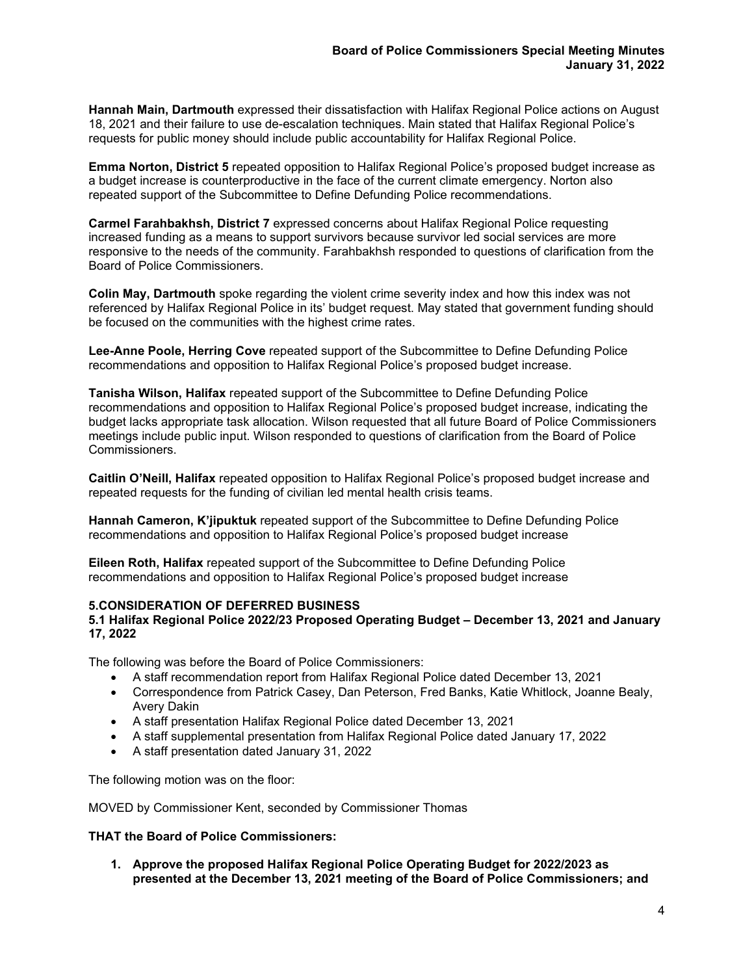**Hannah Main, Dartmouth** expressed their dissatisfaction with Halifax Regional Police actions on August 18, 2021 and their failure to use de-escalation techniques. Main stated that Halifax Regional Police's requests for public money should include public accountability for Halifax Regional Police.

**Emma Norton, District 5** repeated opposition to Halifax Regional Police's proposed budget increase as a budget increase is counterproductive in the face of the current climate emergency. Norton also repeated support of the Subcommittee to Define Defunding Police recommendations.

**Carmel Farahbakhsh, District 7** expressed concerns about Halifax Regional Police requesting increased funding as a means to support survivors because survivor led social services are more responsive to the needs of the community. Farahbakhsh responded to questions of clarification from the Board of Police Commissioners.

**Colin May, Dartmouth** spoke regarding the violent crime severity index and how this index was not referenced by Halifax Regional Police in its' budget request. May stated that government funding should be focused on the communities with the highest crime rates.

**Lee-Anne Poole, Herring Cove** repeated support of the Subcommittee to Define Defunding Police recommendations and opposition to Halifax Regional Police's proposed budget increase.

**Tanisha Wilson, Halifax** repeated support of the Subcommittee to Define Defunding Police recommendations and opposition to Halifax Regional Police's proposed budget increase, indicating the budget lacks appropriate task allocation. Wilson requested that all future Board of Police Commissioners meetings include public input. Wilson responded to questions of clarification from the Board of Police Commissioners.

**Caitlin O'Neill, Halifax** repeated opposition to Halifax Regional Police's proposed budget increase and repeated requests for the funding of civilian led mental health crisis teams.

**Hannah Cameron, K'jipuktuk** repeated support of the Subcommittee to Define Defunding Police recommendations and opposition to Halifax Regional Police's proposed budget increase

**Eileen Roth, Halifax** repeated support of the Subcommittee to Define Defunding Police recommendations and opposition to Halifax Regional Police's proposed budget increase

# **5.CONSIDERATION OF DEFERRED BUSINESS**

#### **5.1 Halifax Regional Police 2022/23 Proposed Operating Budget – December 13, 2021 and January 17, 2022**

The following was before the Board of Police Commissioners:

- A staff recommendation report from Halifax Regional Police dated December 13, 2021
- Correspondence from Patrick Casey, Dan Peterson, Fred Banks, Katie Whitlock, Joanne Bealy, Avery Dakin
- A staff presentation Halifax Regional Police dated December 13, 2021
- A staff supplemental presentation from Halifax Regional Police dated January 17, 2022
- A staff presentation dated January 31, 2022

The following motion was on the floor:

MOVED by Commissioner Kent, seconded by Commissioner Thomas

# **THAT the Board of Police Commissioners:**

**1. Approve the proposed Halifax Regional Police Operating Budget for 2022/2023 as presented at the December 13, 2021 meeting of the Board of Police Commissioners; and**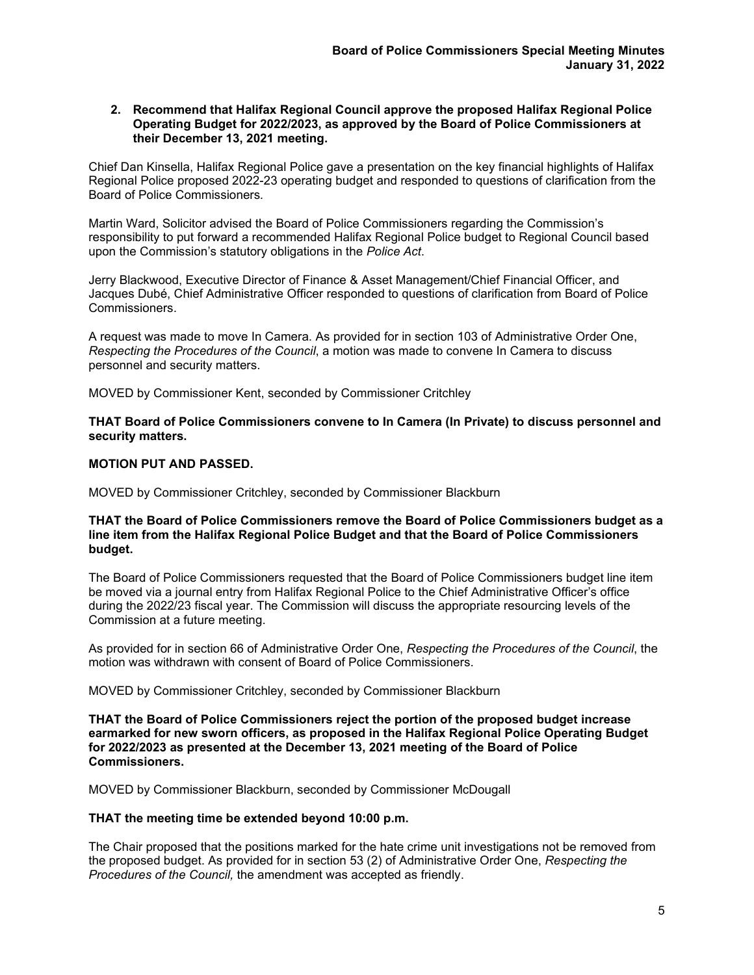#### **2. Recommend that Halifax Regional Council approve the proposed Halifax Regional Police Operating Budget for 2022/2023, as approved by the Board of Police Commissioners at their December 13, 2021 meeting.**

Chief Dan Kinsella, Halifax Regional Police gave a presentation on the key financial highlights of Halifax Regional Police proposed 2022-23 operating budget and responded to questions of clarification from the Board of Police Commissioners*.*

Martin Ward, Solicitor advised the Board of Police Commissioners regarding the Commission's responsibility to put forward a recommended Halifax Regional Police budget to Regional Council based upon the Commission's statutory obligations in the *Police Act*.

Jerry Blackwood, Executive Director of Finance & Asset Management/Chief Financial Officer, and Jacques Dubé, Chief Administrative Officer responded to questions of clarification from Board of Police Commissioners.

A request was made to move In Camera. As provided for in section 103 of Administrative Order One, *Respecting the Procedures of the Council*, a motion was made to convene In Camera to discuss personnel and security matters.

MOVED by Commissioner Kent, seconded by Commissioner Critchley

**THAT Board of Police Commissioners convene to In Camera (In Private) to discuss personnel and security matters.** 

# **MOTION PUT AND PASSED.**

MOVED by Commissioner Critchley, seconded by Commissioner Blackburn

# **THAT the Board of Police Commissioners remove the Board of Police Commissioners budget as a line item from the Halifax Regional Police Budget and that the Board of Police Commissioners budget.**

The Board of Police Commissioners requested that the Board of Police Commissioners budget line item be moved via a journal entry from Halifax Regional Police to the Chief Administrative Officer's office during the 2022/23 fiscal year. The Commission will discuss the appropriate resourcing levels of the Commission at a future meeting.

As provided for in section 66 of Administrative Order One, *Respecting the Procedures of the Council*, the motion was withdrawn with consent of Board of Police Commissioners.

MOVED by Commissioner Critchley, seconded by Commissioner Blackburn

**THAT the Board of Police Commissioners reject the portion of the proposed budget increase earmarked for new sworn officers, as proposed in the Halifax Regional Police Operating Budget for 2022/2023 as presented at the December 13, 2021 meeting of the Board of Police Commissioners.**

MOVED by Commissioner Blackburn, seconded by Commissioner McDougall

# **THAT the meeting time be extended beyond 10:00 p.m.**

The Chair proposed that the positions marked for the hate crime unit investigations not be removed from the proposed budget. As provided for in section 53 (2) of Administrative Order One, *Respecting the Procedures of the Council,* the amendment was accepted as friendly.